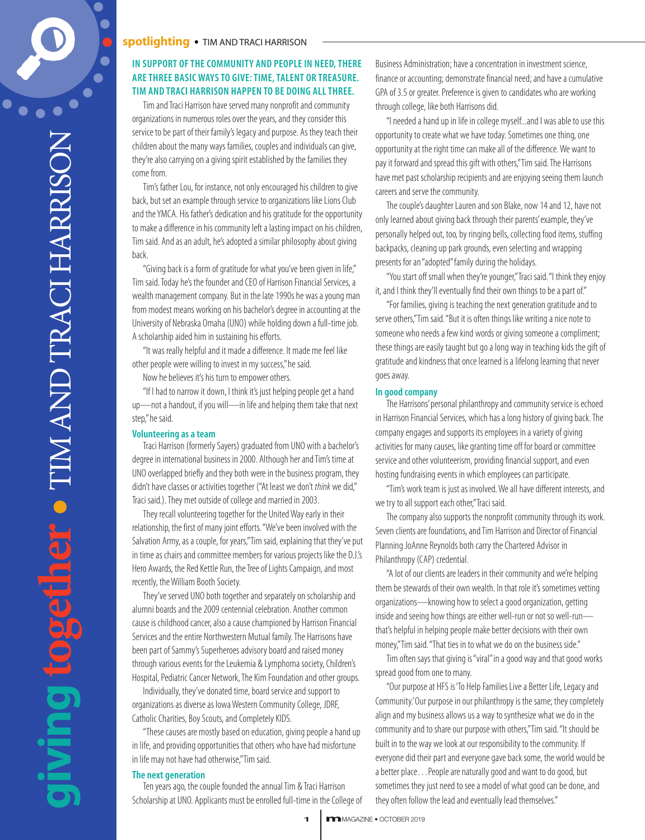**g**

# **spotlighting** • TIM ANDTRACI HARRISON **• m**magazine

# **IN SUPPORT OFTHE COMMUNITY AND PEOPLE IN NEED,THERE ARETHREE BASIC WAYSTO GIVE:TIME,TALENT OR TREASURE. TIM AND TRACI HARRISON HAPPEN TO BE DOING ALLTHREE.**

Tim and Traci Harrison have served many nonprofit and community organizations in numerous roles over the years, and they consider this service to be part of their family's legacy and purpose. As they teach their children about the many ways families, couples and individuals can give, they're also carrying on a giving spirit established by the families they come from.

Tim's father Lou, for instance, not only encouraged his children to give back, but set an example through service to organizations like Lions Club and the YMCA. His father's dedication and his gratitude for the opportunity to make a difference in his community left a lasting impact on his children, Tim said. And as an adult, he's adopted a similar philosophy about giving back.

"Giving back is a form of gratitude for what you've been given in life," Tim said. Today he's the founder and CEO of Harrison Financial Services, a wealth management company. But in the late 1990s he was a young man from modest means working on his bachelor's degree in accounting at the University of Nebraska Omaha (UNO) while holding down a full-time job. A scholarship aided him in sustaining his efforts.

"It was really helpful and it made a difference. It made me feel like other people were willing to invest in my success," he said.

Now he believes it's his turn to empower others.

"If I had to narrow it down, I think it's just helping people get a hand up—not a handout, if you will—in life and helping them take that next step,"he said.

#### **Volunteering** as a team

Traci Harrison (formerly Sayers) graduated from UNO with a bachelor's degree in international business in 2000. Although her and Tim's time at UNO overlapped briefly and they both were in the business program, they didn't have classes or activities together ("At least we don't *think* we did," Traci said.). They met outside of college and married in 2003.

They recall volunteering together for the United Way early in their relationship, the first of many joint efforts. "We've been involved with the Salvation Army, as a couple, for years," Tim said, explaining that they've put in time as chairs and committee members for various projects like the D.J.'s Hero Awards, the Red Kettle Run, the Tree of Lights Campaign, and most recently, the William Booth Society.

They've served UNO both together and separately on scholarship and alumni boards and the 2009 centennial celebration. Another common cause is childhood cancer, also a cause championed by Harrison Financial Services and the entire Northwestern Mutual family. The Harrisons have been part of Sammy's Superheroes advisory board and raised money through various events for the Leukemia & Lymphoma society, Children's Hospital, Pediatric Cancer Network, The Kim Foundation and other groups.

Individually, they've donated time, board service and support to organizations as diverse as Iowa Western Community College, JDRF, Catholic Charities, Boy Scouts, and Completely KIDS.

"These causes are mostly based on education, giving people a hand up in life, and providing opportunities that others who have had misfortune in life may not have had otherwise,"Tim said.

## **The next generation**

Ten years ago, the couple founded the annual Tim & Traci Harrison Scholarship at UNO. Applicants must be enrolled full-time in the College of

Business Administration; have a concentration in investment science, finance or accounting; demonstrate financial need; and have a cumulative GPA of 3.5 or greater. Preference is given to candidates who are working through college, like both Harrisons did.

"I needed a hand up in life in college myself...and I was able to use this opportunity to create what we have today. Sometimes one thing, one opportunity at the right time can make all of the difference. We want to pay it forward and spread this gift with others," Tim said. The Harrisons have met past scholarship recipients and are enjoying seeing them launch careers and serve the community.

The couple's daughter Lauren and son Blake, now 14 and 12, have not only learned about giving back through their parents' example, they've personally helped out, too, by ringing bells, collecting food items, stuffing backpacks, cleaning up park grounds, even selecting and wrapping presents for an "adopted" family during the holidays.

"You start off small when they're younger,"Traci said. "I think they enjoy it, and I think they'll eventually find their own things to be a part of."

"For families, giving is teaching the next generation gratitude and to serve others,"Tim said. "But it is often things like writing a nice note to someone who needs a few kind words or giving someone a compliment; these things are easily taught but go a long way in teaching kids the gift of gratitude and kindness that once learned is a lifelong learning that never goes away.

## **In good company**

The Harrisons' personal philanthropy and community service is echoed in Harrison Financial Services, which has a long history of giving back. The company engages and supports its employees in a variety of giving activities for many causes, like granting time off for board or committee service and other volunteerism, providing financial support, and even hosting fundraising events in which employees can participate.

"Tim's work team is just as involved. We all have different interests, and we try to all support each other,"Traci said.

The company also supports the nonprofit community through its work. Seven clients are foundations, and Tim Harrison and Director of Financial Planning JoAnne Reynolds both carry the Chartered Advisor in Philanthropy (CAP) credential.

"A lot of our clients are leaders in their community and we're helping them be stewards of their own wealth. In that role it's sometimes vetting organizations—knowing how to select a good organization, getting inside and seeing how things are either well-run or not so well-runthat's helpful in helping people make better decisions with their own money,"Tim said. "That ties in to what we do on the business side."

Tim often says that giving is "viral" in a good way and that good works spread good from one to many.

"Our purpose at HFS is'To Help Families Live a Better Life, Legacy and Community.' Our purpose in our philanthropy is the same; they completely align and my business allows us a way to synthesize what we do in the community and to share our purpose with others,"Tim said. "It should be built in to the way we look at our responsibility to the community. If everyone did their part and everyone gave back some, the world would be a better place...People are naturally good and want to do good, but sometimes they just need to see a model of what good can be done, and they often follow the lead and eventually lead themselves."